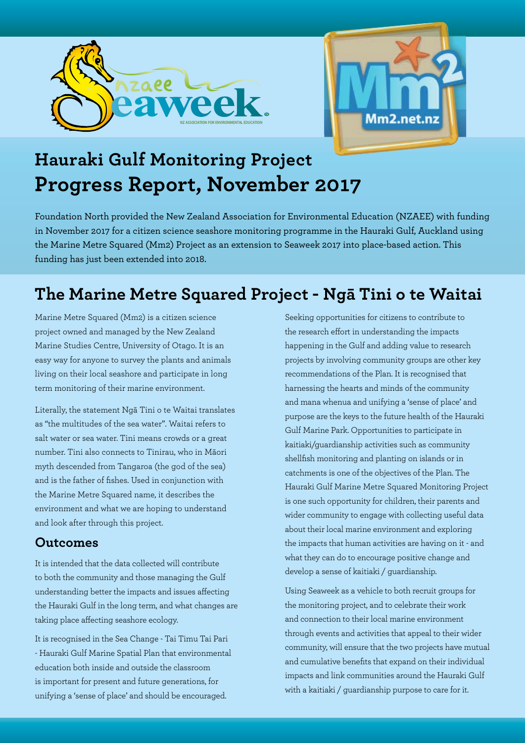



# **Hauraki Gulf Monitoring Project Progress Report, November 2017**

Foundation North provided the New Zealand Association for Environmental Education (NZAEE) with funding in November 2017 for a citizen science seashore monitoring programme in the Hauraki Gulf, Auckland using the Marine Metre Squared (Mm2) Project as an extension to Seaweek 2017 into place-based action. This funding has just been extended into 2018.

## **The Marine Metre Squared Project - Ngā Tini o te Waitai**

Marine Metre Squared (Mm2) is a citizen science project owned and managed by the New Zealand Marine Studies Centre, University of Otago. It is an easy way for anyone to survey the plants and animals living on their local seashore and participate in long term monitoring of their marine environment.

Literally, the statement Ngā Tini o te Waitai translates as "the multitudes of the sea water". Waitai refers to salt water or sea water. Tini means crowds or a great number. Tini also connects to Tinirau, who in Māori myth descended from Tangaroa (the god of the sea) and is the father of fishes. Used in conjunction with the Marine Metre Squared name, it describes the environment and what we are hoping to understand and look after through this project.

#### **Outcomes**

It is intended that the data collected will contribute to both the community and those managing the Gulf understanding better the impacts and issues affecting the Hauraki Gulf in the long term, and what changes are taking place affecting seashore ecology.

It is recognised in the Sea Change - Tai Timu Tai Pari - Hauraki Gulf Marine Spatial Plan that environmental education both inside and outside the classroom is important for present and future generations, for unifying a 'sense of place' and should be encouraged.

Seeking opportunities for citizens to contribute to the research effort in understanding the impacts happening in the Gulf and adding value to research projects by involving community groups are other key recommendations of the Plan. It is recognised that harnessing the hearts and minds of the community and mana whenua and unifying a 'sense of place' and purpose are the keys to the future health of the Hauraki Gulf Marine Park. Opportunities to participate in kaitiaki/guardianship activities such as community shellfish monitoring and planting on islands or in catchments is one of the objectives of the Plan. The Hauraki Gulf Marine Metre Squared Monitoring Project is one such opportunity for children, their parents and wider community to engage with collecting useful data about their local marine environment and exploring the impacts that human activities are having on it - and what they can do to encourage positive change and develop a sense of kaitiaki / guardianship.

Using Seaweek as a vehicle to both recruit groups for the monitoring project, and to celebrate their work and connection to their local marine environment through events and activities that appeal to their wider community, will ensure that the two projects have mutual and cumulative benefits that expand on their individual impacts and link communities around the Hauraki Gulf with a kaitiaki / guardianship purpose to care for it.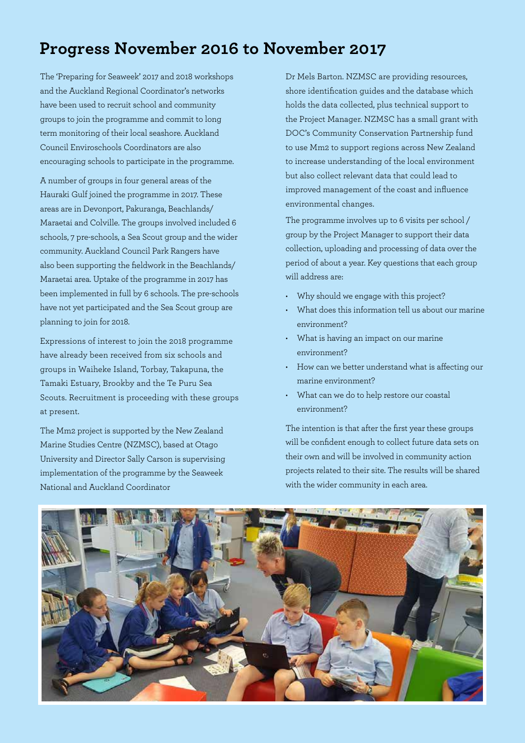## **Progress November 2016 to November 2017**

The 'Preparing for Seaweek' 2017 and 2018 workshops and the Auckland Regional Coordinator's networks have been used to recruit school and community groups to join the programme and commit to long term monitoring of their local seashore. Auckland Council Enviroschools Coordinators are also encouraging schools to participate in the programme.

A number of groups in four general areas of the Hauraki Gulf joined the programme in 2017. These areas are in Devonport, Pakuranga, Beachlands/ Maraetai and Colville. The groups involved included 6 schools, 7 pre-schools, a Sea Scout group and the wider community. Auckland Council Park Rangers have also been supporting the fieldwork in the Beachlands/ Maraetai area. Uptake of the programme in 2017 has been implemented in full by 6 schools. The pre-schools have not yet participated and the Sea Scout group are planning to join for 2018.

Expressions of interest to join the 2018 programme have already been received from six schools and groups in Waiheke Island, Torbay, Takapuna, the Tamaki Estuary, Brookby and the Te Puru Sea Scouts. Recruitment is proceeding with these groups at present.

The Mm2 project is supported by the New Zealand Marine Studies Centre (NZMSC), based at Otago University and Director Sally Carson is supervising implementation of the programme by the Seaweek National and Auckland Coordinator

Dr Mels Barton. NZMSC are providing resources, shore identification guides and the database which holds the data collected, plus technical support to the Project Manager. NZMSC has a small grant with DOC's Community Conservation Partnership fund to use Mm2 to support regions across New Zealand to increase understanding of the local environment but also collect relevant data that could lead to improved management of the coast and influence environmental changes.

The programme involves up to 6 visits per school / group by the Project Manager to support their data collection, uploading and processing of data over the period of about a year. Key questions that each group will address are:

- Why should we engage with this project?
- What does this information tell us about our marine environment?
- What is having an impact on our marine environment?
- How can we better understand what is affecting our marine environment?
- What can we do to help restore our coastal environment?

The intention is that after the first year these groups will be confident enough to collect future data sets on their own and will be involved in community action projects related to their site. The results will be shared with the wider community in each area.

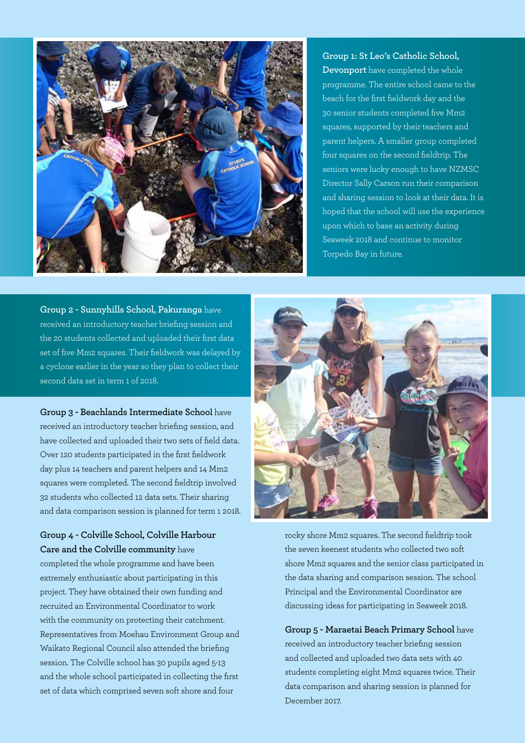

**Group 1: St Leo's Catholic School, Devonport** have completed the whole programme. The entire school came to the beach for the first fieldwork day and the 30 senior students completed five Mm2 squares, supported by their teachers and parent helpers. A smaller group completed four squares on the second fieldtrip. The seniors were lucky enough to have NZMSC Director Sally Carson run their comparison and sharing session to look at their data. It is hoped that the school will use the experience upon which to base an activity during Seaweek 2018 and continue to monitor Torpedo Bay in future.

**Group 2 - Sunnyhills School, Pakuranga** have received an introductory teacher briefing session and the 20 students collected and uploaded their first data set of five Mm2 squares. Their fieldwork was delayed by a cyclone earlier in the year so they plan to collect their second data set in term 1 of 2018.

**Group 3 - Beachlands Intermediate School** have received an introductory teacher briefing session, and have collected and uploaded their two sets of field data. Over 120 students participated in the first fieldwork day plus 14 teachers and parent helpers and 14 Mm2 squares were completed. The second fieldtrip involved 32 students who collected 12 data sets. Their sharing and data comparison session is planned for term 1 2018.

**Group 4 - Colville School, Colville Harbour Care and the Colville community** have completed the whole programme and have been extremely enthusiastic about participating in this project. They have obtained their own funding and recruited an Environmental Coordinator to work with the community on protecting their catchment. Representatives from Moehau Environment Group and Waikato Regional Council also attended the briefing session. The Colville school has 30 pupils aged 5-13 and the whole school participated in collecting the first set of data which comprised seven soft shore and four



rocky shore Mm2 squares. The second fieldtrip took the seven keenest students who collected two soft shore Mm2 squares and the senior class participated in the data sharing and comparison session. The school Principal and the Environmental Coordinator are discussing ideas for participating in Seaweek 2018.

**Group 5 - Maraetai Beach Primary School** have received an introductory teacher briefing session and collected and uploaded two data sets with 40 students completing eight Mm2 squares twice. Their data comparison and sharing session is planned for December 2017.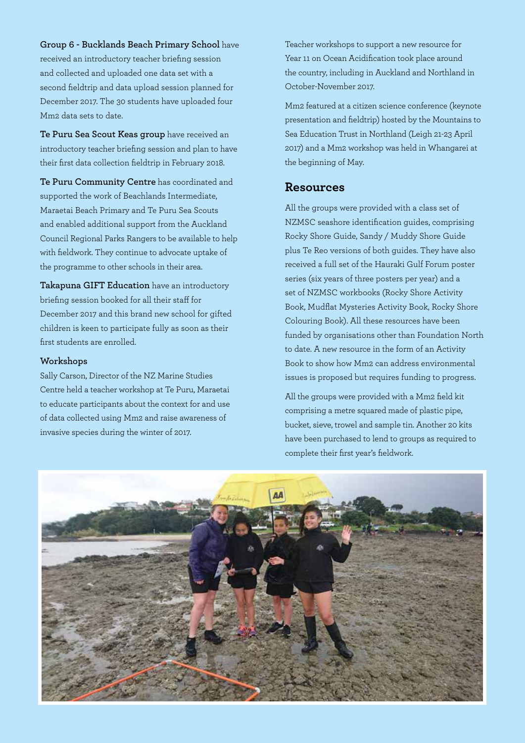**Group 6 - Bucklands Beach Primary School** have

received an introductory teacher briefing session and collected and uploaded one data set with a second fieldtrip and data upload session planned for December 2017. The 30 students have uploaded four Mm2 data sets to date.

**Te Puru Sea Scout Keas group** have received an introductory teacher briefing session and plan to have their first data collection fieldtrip in February 2018.

**Te Puru Community Centre** has coordinated and supported the work of Beachlands Intermediate, Maraetai Beach Primary and Te Puru Sea Scouts and enabled additional support from the Auckland Council Regional Parks Rangers to be available to help with fieldwork. They continue to advocate uptake of the programme to other schools in their area.

**Takapuna GIFT Education** have an introductory briefing session booked for all their staff for December 2017 and this brand new school for gifted children is keen to participate fully as soon as their first students are enrolled.

#### **Workshops**

Sally Carson, Director of the NZ Marine Studies Centre held a teacher workshop at Te Puru, Maraetai to educate participants about the context for and use of data collected using Mm2 and raise awareness of invasive species during the winter of 2017.

Teacher workshops to support a new resource for Year 11 on Ocean Acidification took place around the country, including in Auckland and Northland in October-November 2017.

Mm2 featured at a citizen science conference (keynote presentation and fieldtrip) hosted by the Mountains to Sea Education Trust in Northland (Leigh 21-23 April 2017) and a Mm2 workshop was held in Whangarei at the beginning of May.

#### **Resources**

All the groups were provided with a class set of NZMSC seashore identification guides, comprising Rocky Shore Guide, Sandy / Muddy Shore Guide plus Te Reo versions of both guides. They have also received a full set of the Hauraki Gulf Forum poster series (six years of three posters per year) and a set of NZMSC workbooks (Rocky Shore Activity Book, Mudflat Mysteries Activity Book, Rocky Shore Colouring Book). All these resources have been funded by organisations other than Foundation North to date. A new resource in the form of an Activity Book to show how Mm2 can address environmental issues is proposed but requires funding to progress.

All the groups were provided with a Mm2 field kit comprising a metre squared made of plastic pipe, bucket, sieve, trowel and sample tin. Another 20 kits have been purchased to lend to groups as required to complete their first year's fieldwork.